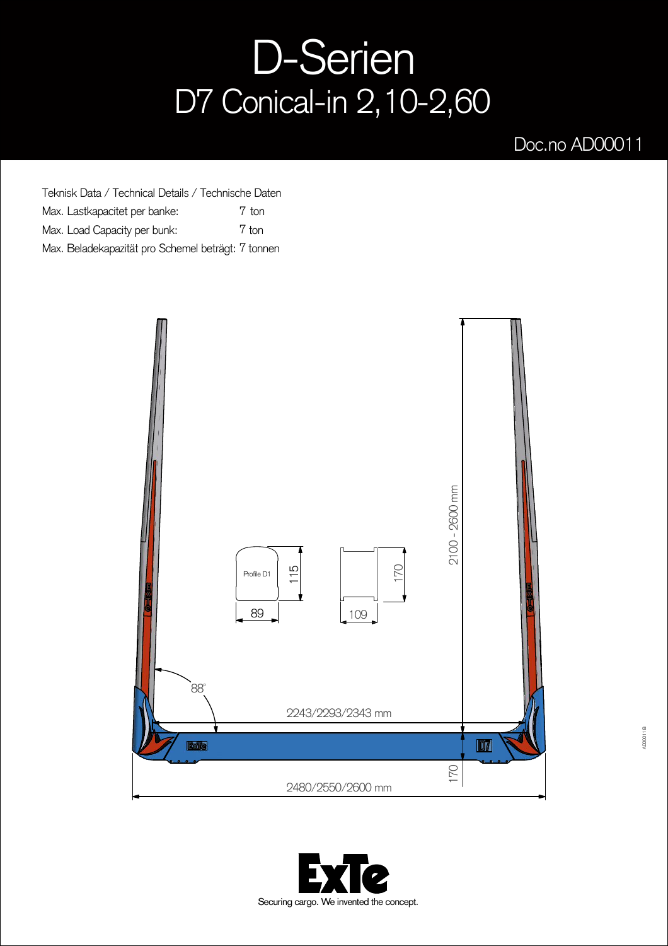## D-Serien D7 Conical-in 2,10-2,60

## Doc.no AD00011

Teknisk Data / Technical Details / Technische Daten Max. Lastkapacitet per banke: Max. Load Capacity per bunk: Max. Beladekapazität pro Schemel beträgt: 7 tonnen 7 ton 7 ton